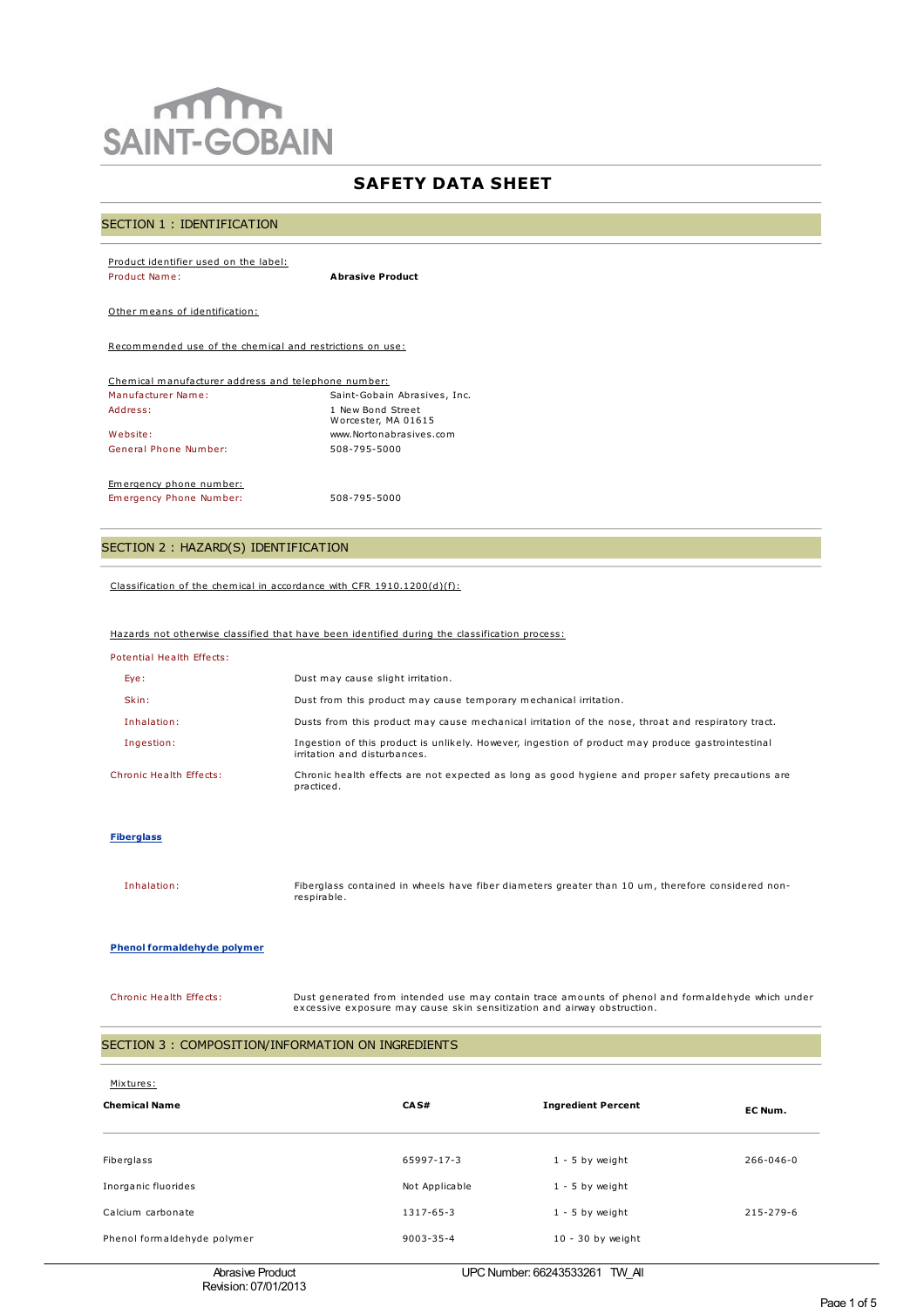# $m$ **SAINT-GOBAIN**

# **SAFETY DATA SHEET**

#### SECTION 1 : IDENTIFICATION

| Product identifier used on the label:                    |                                          |  |  |  |
|----------------------------------------------------------|------------------------------------------|--|--|--|
| Product Name:                                            | <b>Abrasive Product</b>                  |  |  |  |
|                                                          |                                          |  |  |  |
| Other means of identification:                           |                                          |  |  |  |
|                                                          |                                          |  |  |  |
| Recommended use of the chemical and restrictions on use: |                                          |  |  |  |
|                                                          |                                          |  |  |  |
| Chemical manufacturer address and telephone number:      |                                          |  |  |  |
| Manufacturer Name:                                       | Saint-Gobain Abrasives, Inc.             |  |  |  |
| Address:                                                 | 1 New Bond Street<br>Worcester, MA 01615 |  |  |  |
| Website:                                                 | www.Nortonabrasives.com                  |  |  |  |
| General Phone Number:                                    | 508-795-5000                             |  |  |  |

Emergency phone number: Emergency Phone Number: 508-795-5000

## SECTION 2 : HAZARD(S) IDENTIFICATION

Classification of the chemical in accordance with CFR 1910.1200(d)(f):

## Hazards not otherwise classified that have been identified during the classification process:

| Potential Health Effects: |  |  |
|---------------------------|--|--|
|                           |  |  |

| Eye:                    | Dust may cause slight irritation.                                                                                                 |
|-------------------------|-----------------------------------------------------------------------------------------------------------------------------------|
| Skin:                   | Dust from this product may cause temporary mechanical irritation.                                                                 |
| Inhalation:             | Dusts from this product may cause mechanical irritation of the nose, throat and respiratory tract.                                |
| Ingestion:              | Ingestion of this product is unlikely. However, ingestion of product may produce gastrointestinal<br>irritation and disturbances. |
| Chronic Health Effects: | Chronic health effects are not expected as long as good hygiene and proper safety precautions are<br>practiced.                   |

#### **Fiberglass**

Inhalation: Fiberglass contained in wheels have fiber diameters greater than 10 um, therefore considered nonrespirable.

#### **Phenol formaldehyde polymer**

Chronic Health Effects: Dust generated from intended use may contain trace amounts of phenol and formaldehyde which under excessive exposure may cause skin sensitization and airway obstruction.

#### SECTION 3 : COMPOSITION/INFORMATION ON INGREDIENTS

| Mixtures:<br><b>Chemical Name</b> | CAS#            | <b>Ingredient Percent</b> | EC Num.   |
|-----------------------------------|-----------------|---------------------------|-----------|
| Fiberglass                        | 65997-17-3      | $1 - 5$ by weight         | 266-046-0 |
| Inorganic fluorides               | Not Applicable  | $1 - 5$ by weight         |           |
| Calcium carbonate                 | 1317-65-3       | $1 - 5$ by weight         | 215-279-6 |
| Phenol formaldehyde polymer       | $9003 - 35 - 4$ | $10 - 30$ by weight       |           |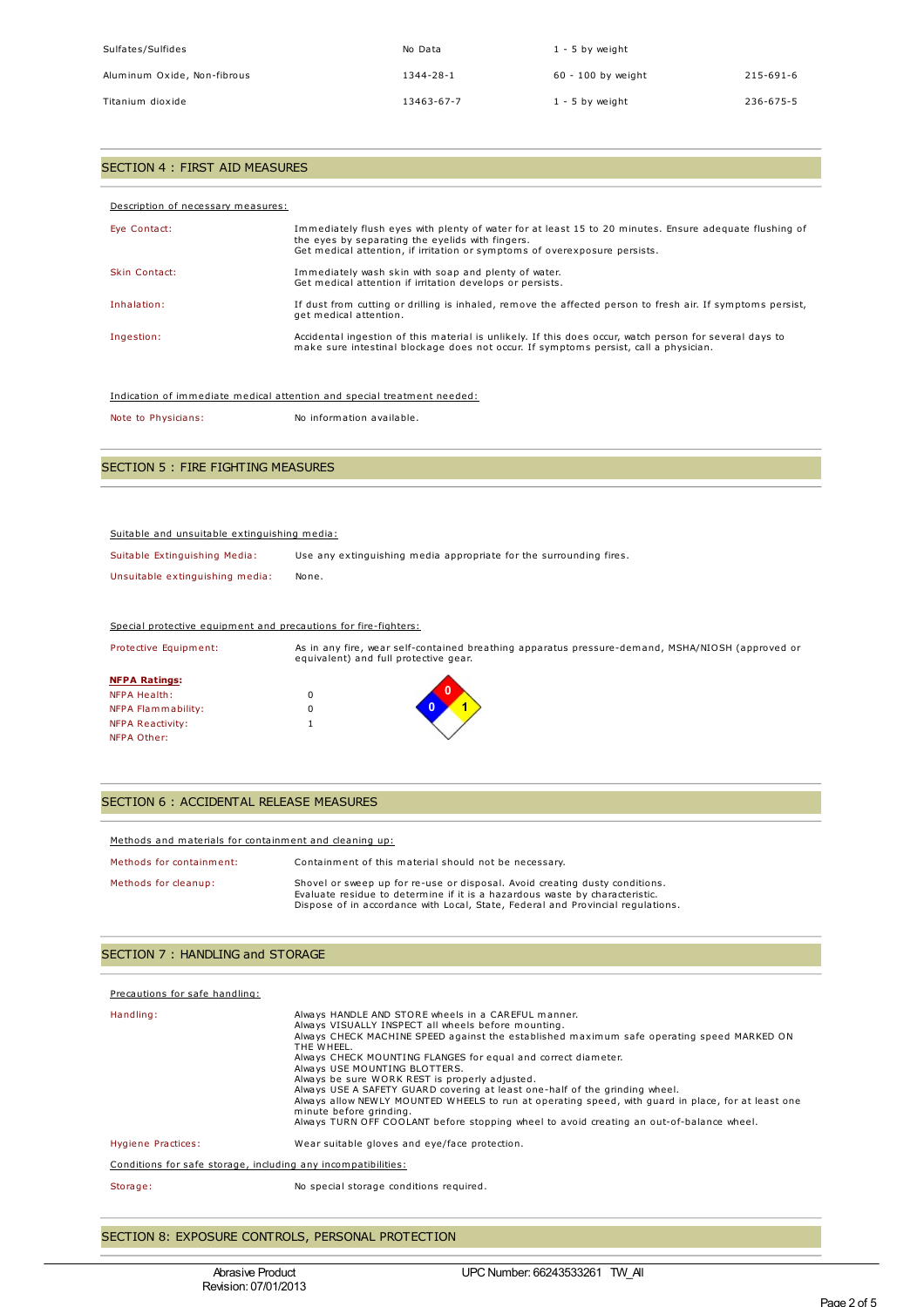| Sulfates/Sulfides           | No Data    | $1 - 5$ by weight    |           |
|-----------------------------|------------|----------------------|-----------|
| Aluminum Oxide, Non-fibrous | 1344-28-1  | $60 - 100$ by weight | 215-691-6 |
| Titanium dioxide            | 13463-67-7 | $1 - 5$ by weight    | 236-675-5 |

## SECTION 4 : FIRST AID MEASURES

| Description of necessary measures: |                                                                                                                                                                                                                                          |
|------------------------------------|------------------------------------------------------------------------------------------------------------------------------------------------------------------------------------------------------------------------------------------|
| Eve Contact:                       | Immediately flush eyes with plenty of water for at least 15 to 20 minutes. Ensure adequate flushing of<br>the eyes by separating the eyelids with fingers.<br>Get medical attention, if irritation or symptoms of overexposure persists. |
| Skin Contact:                      | Immediately wash skin with soap and plenty of water.<br>Get medical attention if irritation develops or persists.                                                                                                                        |
| Inhalation:                        | If dust from cutting or drilling is inhaled, remove the affected person to fresh air. If symptoms persist,<br>get medical attention.                                                                                                     |
| Ingestion:                         | Accidental ingestion of this material is unlikely. If this does occur, watch person for several days to<br>make sure intestinal blockage does not occur. If symptoms persist, call a physician.                                          |

| Indication of immediate medical attention and special treatment needed: |  |  |
|-------------------------------------------------------------------------|--|--|
|                                                                         |  |  |

Note to Physicians: No information available.

# SECTION 5 : FIRE FIGHTING MEASURES

#### Suitable and unsuitable extinguishing media:

| Suitable Extinguishing Media:   | Use any extinguishing media appropriate for the surrounding fires. |
|---------------------------------|--------------------------------------------------------------------|
| Unsuitable extinguishing media: | None.                                                              |

#### Special protective equipment and precautions for fire-fighters:

| Protective Equipment: |   | As in any fire, wear self-contained breathing apparatus pressure-demand, MSHA/NIOSH (approved or<br>equivalent) and full protective gear. |
|-----------------------|---|-------------------------------------------------------------------------------------------------------------------------------------------|
| <b>NFPA Ratings:</b>  |   |                                                                                                                                           |
| <b>NFPA Health:</b>   |   |                                                                                                                                           |
| NFPA Flammability:    | 0 |                                                                                                                                           |
| NFPA Reactivity:      |   |                                                                                                                                           |
| NFPA Other:           |   |                                                                                                                                           |

#### SECTION 6 : ACCIDENTAL RELEASE MEASURES

| Methods and materials for containment and cleaning up: |                                                                                                                                                                                                                                               |  |  |  |
|--------------------------------------------------------|-----------------------------------------------------------------------------------------------------------------------------------------------------------------------------------------------------------------------------------------------|--|--|--|
| Methods for containment:                               | Containment of this material should not be necessary.                                                                                                                                                                                         |  |  |  |
| Methods for cleanup:                                   | Shovel or sweep up for re-use or disposal. Avoid creating dusty conditions.<br>Evaluate residue to determine if it is a hazardous waste by characteristic.<br>Dispose of in accordance with Local, State, Federal and Provincial regulations. |  |  |  |

#### SECTION 7 : HANDLING and STORAGE

| Precautions for safe handling:                                |                                                                                                                                                                                                                                                                                                                                                                                                                                                                                                                                                                                                                                                                                       |
|---------------------------------------------------------------|---------------------------------------------------------------------------------------------------------------------------------------------------------------------------------------------------------------------------------------------------------------------------------------------------------------------------------------------------------------------------------------------------------------------------------------------------------------------------------------------------------------------------------------------------------------------------------------------------------------------------------------------------------------------------------------|
| Handling:                                                     | Always HANDLE AND STORE wheels in a CAREFUL manner.<br>Always VISUALLY INSPECT all wheels before mounting.<br>Always CHECK MACHINE SPEED against the established maximum safe operating speed MARKED ON<br>THE WHEEL.<br>Always CHECK MOUNTING FLANGES for equal and correct diameter.<br>Always USE MOUNTING BLOTTERS.<br>Always be sure WORK REST is properly adjusted.<br>Always USE A SAFETY GUARD covering at least one-half of the grinding wheel.<br>Always allow NEWLY MOUNTED WHEELS to run at operating speed, with quard in place, for at least one<br>minute before arindina.<br>Always TURN OFF COOLANT before stopping wheel to avoid creating an out-of-balance wheel. |
| Hygiene Practices:                                            | Wear suitable gloves and eye/face protection.                                                                                                                                                                                                                                                                                                                                                                                                                                                                                                                                                                                                                                         |
| Conditions for safe storage, including any incompatibilities: |                                                                                                                                                                                                                                                                                                                                                                                                                                                                                                                                                                                                                                                                                       |
| Storage:                                                      | No special storage conditions required.                                                                                                                                                                                                                                                                                                                                                                                                                                                                                                                                                                                                                                               |

#### SECTION 8: EXPOSURE CONTROLS, PERSONAL PROTECTION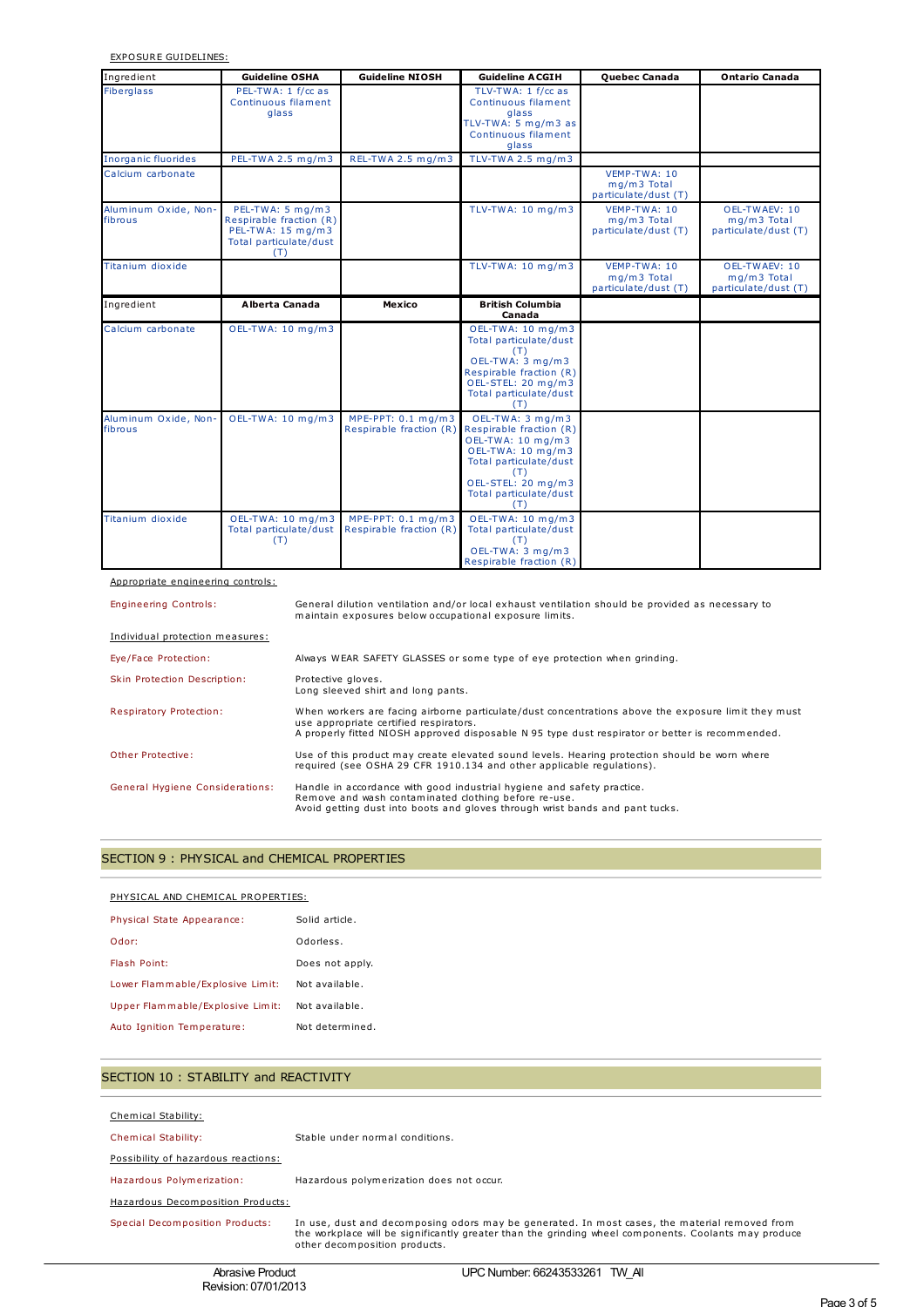EXPOSURE GUIDELINES:

| Ingredient                      | <b>Guideline OSHA</b>                                                                             | <b>Guideline NIOSH</b>                        | <b>Guideline ACGIH</b>                                                                                                                                                        | Quebec Canada                                       | <b>Ontario Canada</b>                                |
|---------------------------------|---------------------------------------------------------------------------------------------------|-----------------------------------------------|-------------------------------------------------------------------------------------------------------------------------------------------------------------------------------|-----------------------------------------------------|------------------------------------------------------|
| <b>Fiberglass</b>               | PEL-TWA: 1 f/cc as<br>Continuous filament<br>glass                                                |                                               | TLV-TWA: 1 f/cc as<br>Continuous filament<br>glass<br>TLV-TWA: 5 mg/m3 as<br>Continuous filament<br>glass                                                                     |                                                     |                                                      |
| Inorganic fluorides             | PEL-TWA 2.5 mg/m3                                                                                 | REL-TWA 2.5 mg/m3                             | TLV-TWA 2.5 mg/m3                                                                                                                                                             |                                                     |                                                      |
| Calcium carbonate               |                                                                                                   |                                               |                                                                                                                                                                               | VEMP-TWA: 10<br>mg/m3 Total<br>particulate/dust (T) |                                                      |
| Aluminum Oxide, Non-<br>fibrous | PEL-TWA: 5 mg/m3<br>Respirable fraction (R)<br>PEL-TWA: 15 mg/m3<br>Total particulate/dust<br>(T) |                                               | TLV-TWA: 10 mg/m3                                                                                                                                                             | VEMP-TWA: 10<br>mg/m3 Total<br>particulate/dust (T) | OEL-TWAEV: 10<br>mg/m3 Total<br>particulate/dust (T) |
| Titanium dioxide                |                                                                                                   |                                               | TLV-TWA: 10 mg/m3                                                                                                                                                             | VEMP-TWA: 10<br>mg/m3 Total<br>particulate/dust (T) | OEL-TWAEV: 10<br>mg/m3 Total<br>particulate/dust (T) |
| Ingredient                      | Alberta Canada                                                                                    | Mexico                                        | <b>British Columbia</b><br>Canada                                                                                                                                             |                                                     |                                                      |
| Calcium carbonate               | OEL-TWA: 10 mg/m3                                                                                 |                                               | OEL-TWA: 10 mg/m3<br>Total particulate/dust<br>(T)<br>OEL-TWA: 3 mg/m3<br>Respirable fraction (R)<br>OEL-STEL: 20 mg/m3<br>Total particulate/dust<br>(T)                      |                                                     |                                                      |
| Aluminum Oxide, Non-<br>fibrous | OEL-TWA: 10 mg/m3                                                                                 | MPE-PPT: 0.1 mg/m3<br>Respirable fraction (R) | OEL-TWA: 3 mg/m3<br>Respirable fraction (R)<br>OEL-TWA: 10 mg/m3<br>OEL-TWA: 10 mg/m3<br>Total particulate/dust<br>(T)<br>OEL-STEL: 20 mg/m3<br>Total particulate/dust<br>(T) |                                                     |                                                      |
| Titanium dioxide                | OEL-TWA: 10 mg/m3<br>Total particulate/dust<br>(T)                                                | MPE-PPT: 0.1 mg/m3<br>Respirable fraction (R) | OEL-TWA: 10 mg/m3<br>Total particulate/dust<br>(T)<br>OEL-TWA: 3 mg/m3<br>Respirable fraction (R)                                                                             |                                                     |                                                      |

Appropriate engineering controls:

Engineering Controls: General dilution ventilation and/or local exhaust ventilation should be provided as necessary to maintain exposures below occupational exposure limits.

| Individual protection measures:        |                                                                                                                                                                                                                                                  |
|----------------------------------------|--------------------------------------------------------------------------------------------------------------------------------------------------------------------------------------------------------------------------------------------------|
| Eye/Face Protection:                   | Always WEAR SAFETY GLASSES or some type of eye protection when grinding.                                                                                                                                                                         |
| Skin Protection Description:           | Protective gloves.<br>Long sleeved shirt and long pants.                                                                                                                                                                                         |
| Respiratory Protection:                | When workers are facing airborne particulate/dust concentrations above the exposure limit they must<br>use appropriate certified respirators.<br>A properly fitted NIOSH approved disposable N 95 type dust respirator or better is recommended. |
| Other Protective:                      | Use of this product may create elevated sound levels. Hearing protection should be worn where<br>required (see OSHA 29 CFR 1910.134 and other applicable requlations).                                                                           |
| <b>General Hygiene Considerations:</b> | Handle in accordance with good industrial hygiene and safety practice.<br>Remove and wash contaminated clothing before re-use.<br>Avoid getting dust into boots and gloves through wrist bands and pant tucks.                                   |

## SECTION 9 : PHYSICAL and CHEMICAL PROPERTIES

| PHYSICAL AND CHEMICAL PROPERTIES: |                 |  |
|-----------------------------------|-----------------|--|
| Physical State Appearance:        | Solid article.  |  |
| Odor:                             | Odorless.       |  |
| Flash Point:                      | Does not apply. |  |
| Lower Flammable/Explosive Limit:  | Not available.  |  |
| Upper Flammable/Explosive Limit:  | Not available.  |  |
| Auto Ignition Temperature:        | Not determined. |  |

# SECTION 10 : STABILITY and REACTIVITY

| Chemical Stability:                 |                                                                                                                                                                                                                                        |
|-------------------------------------|----------------------------------------------------------------------------------------------------------------------------------------------------------------------------------------------------------------------------------------|
| <b>Chemical Stability:</b>          | Stable under normal conditions.                                                                                                                                                                                                        |
| Possibility of hazardous reactions: |                                                                                                                                                                                                                                        |
| Hazardous Polymerization:           | Hazardous polymerization does not occur.                                                                                                                                                                                               |
| Hazardous Decomposition Products:   |                                                                                                                                                                                                                                        |
| Special Decomposition Products:     | In use, dust and decomposing odors may be generated. In most cases, the material removed from<br>the workplace will be significantly greater than the grinding wheel components. Coolants may produce<br>other decomposition products. |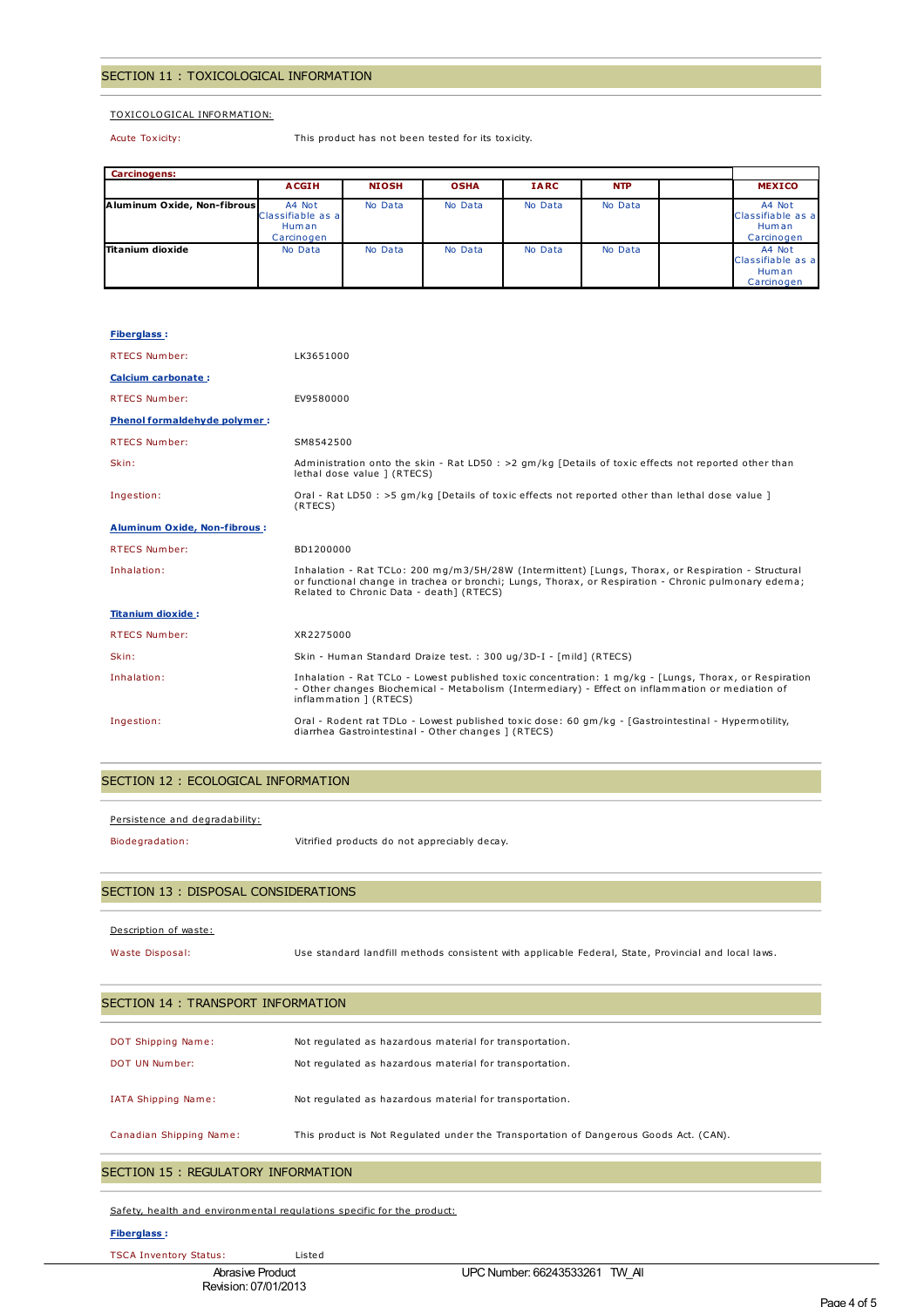#### SECTION 11 : TOXICOLOGICAL INFORMATION

## TOXICOLOGICAL INFORMATION:

Acute Toxicity: This product has not been tested for its toxicity.

| <b>Carcinogens:</b>         |                                                    |              |             |             |            |                                                    |
|-----------------------------|----------------------------------------------------|--------------|-------------|-------------|------------|----------------------------------------------------|
|                             | <b>ACGIH</b>                                       | <b>NIOSH</b> | <b>OSHA</b> | <b>IARC</b> | <b>NTP</b> | <b>MEXICO</b>                                      |
| Aluminum Oxide, Non-fibrous | A4 Not<br>Classifiable as a<br>Human<br>Carcinogen | No Data      | No Data     | No Data     | No Data    | A4 Not<br>Classifiable as a<br>Human<br>Carcinogen |
| Titanium dioxide            | No Data                                            | No Data      | No Data     | No Data     | No Data    | A4 Not<br>Classifiable as a<br>Human<br>Carcinogen |

| <b>Fiberglass:</b>                  |                                                                                                                                                                                                                                                        |
|-------------------------------------|--------------------------------------------------------------------------------------------------------------------------------------------------------------------------------------------------------------------------------------------------------|
| <b>RTECS Number:</b>                | LK3651000                                                                                                                                                                                                                                              |
| Calcium carbonate:                  |                                                                                                                                                                                                                                                        |
| <b>RTECS Number:</b>                | EV9580000                                                                                                                                                                                                                                              |
| <b>Phenol formaldehyde polymer:</b> |                                                                                                                                                                                                                                                        |
| <b>RTECS Number:</b>                | SM8542500                                                                                                                                                                                                                                              |
| Skin:                               | Administration onto the skin - Rat LD50 : $>2$ qm/kg [Details of toxic effects not reported other than<br>lethal dose value ] (RTECS)                                                                                                                  |
| Ingestion:                          | Oral - Rat LD50 : >5 gm/kg [Details of toxic effects not reported other than lethal dose value ]<br>(RTECS)                                                                                                                                            |
| <b>Aluminum Oxide, Non-fibrous:</b> |                                                                                                                                                                                                                                                        |
| <b>RTECS Number:</b>                | BD1200000                                                                                                                                                                                                                                              |
| Inhalation:                         | Inhalation - Rat TCLo: 200 mg/m3/5H/28W (Intermittent) [Lungs, Thorax, or Respiration - Structural<br>or functional change in trachea or bronchi; Lungs, Thorax, or Respiration - Chronic pulmonary edema;<br>Related to Chronic Data - death] (RTECS) |
| <b>Titanium dioxide:</b>            |                                                                                                                                                                                                                                                        |
| <b>RTECS Number:</b>                | XR2275000                                                                                                                                                                                                                                              |
| Skin:                               | Skin - Human Standard Draize test. : 300 ug/3D-I - [mild] (RTECS)                                                                                                                                                                                      |
| Inhalation:                         | Inhalation - Rat TCLo - Lowest published toxic concentration: 1 mg/kg - [Lungs, Thorax, or Respiration<br>- Other changes Biochemical - Metabolism (Intermediary) - Effect on inflammation or mediation of<br>inflammation ] (RTECS)                   |
| Ingestion:                          | Oral - Rodent rat TDLo - Lowest published toxic dose: 60 qm/kq - [Gastrointestinal - Hypermotility,<br>diarrhea Gastrointestinal - Other changes ] (RTECS)                                                                                             |

#### SECTION 12 : ECOLOGICAL INFORMATION

Persistence and degradability:

Biodegradation: Vitrified products do not appreciably decay.

## SECTION 13 : DISPOSAL CONSIDERATIONS

#### Description of waste:

Waste Disposal: Use standard landfill methods consistent with applicable Federal, State, Provincial and local laws.

| DOT Shipping Name:      | Not regulated as hazardous material for transportation.                               |
|-------------------------|---------------------------------------------------------------------------------------|
| DOT UN Number:          | Not regulated as hazardous material for transportation.                               |
| IATA Shipping Name:     | Not regulated as hazardous material for transportation.                               |
| Canadian Shipping Name: | This product is Not Regulated under the Transportation of Dangerous Goods Act. (CAN). |

Safety, health and environmental regulations specific for the product:

## **Fiberglass :**